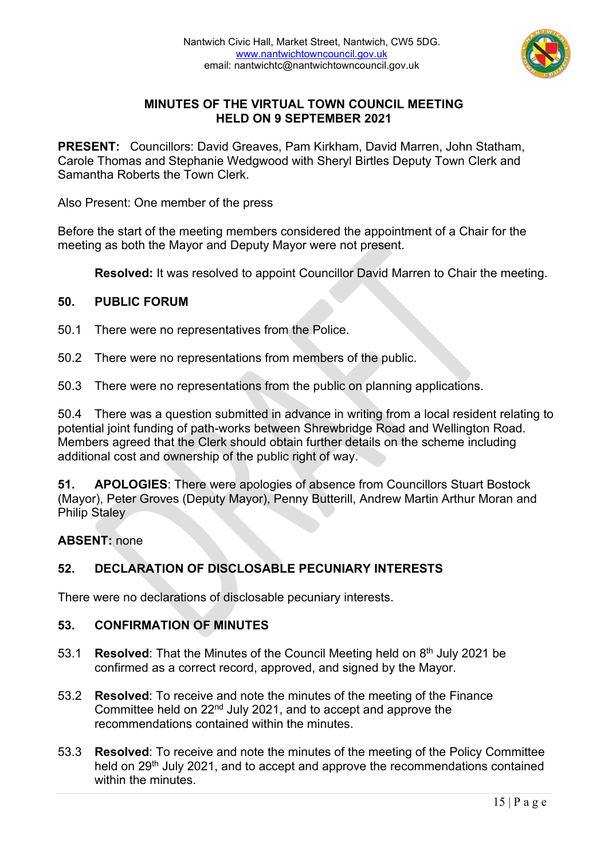

# **MINUTES OF THE VIRTUAL TOWN COUNCIL MEETING HELD ON 9 SEPTEMBER 2021**

**PRESENT:** Councillors: David Greaves, Pam Kirkham, David Marren, John Statham, Carole Thomas and Stephanie Wedgwood with Sheryl Birtles Deputy Town Clerk and Samantha Roberts the Town Clerk.

Also Present: One member of the press

Before the start of the meeting members considered the appointment of a Chair for the meeting as both the Mayor and Deputy Mayor were not present.

**Resolved:** It was resolved to appoint Councillor David Marren to Chair the meeting.

### **50. PUBLIC FORUM**

50.1 There were no representatives from the Police.

50.2 There were no representations from members of the public.

50.3 There were no representations from the public on planning applications.

50.4 There was a question submitted in advance in writing from a local resident relating to potential joint funding of path-works between Shrewbridge Road and Wellington Road. Members agreed that the Clerk should obtain further details on the scheme including additional cost and ownership of the public right of way.

**51. APOLOGIES**: There were apologies of absence from Councillors Stuart Bostock (Mayor), Peter Groves (Deputy Mayor), Penny Butterill, Andrew Martin Arthur Moran and Philip Staley

#### **ABSENT:** none

# **52. DECLARATION OF DISCLOSABLE PECUNIARY INTERESTS**

There were no declarations of disclosable pecuniary interests.

# **53. CONFIRMATION OF MINUTES**

- 53.1 **Resolved**: That the Minutes of the Council Meeting held on 8th July 2021 be confirmed as a correct record, approved, and signed by the Mayor.
- 53.2 **Resolved**: To receive and note the minutes of the meeting of the Finance Committee held on 22nd July 2021, and to accept and approve the recommendations contained within the minutes.
- 53.3 **Resolved**: To receive and note the minutes of the meeting of the Policy Committee held on 29<sup>th</sup> July 2021, and to accept and approve the recommendations contained within the minutes.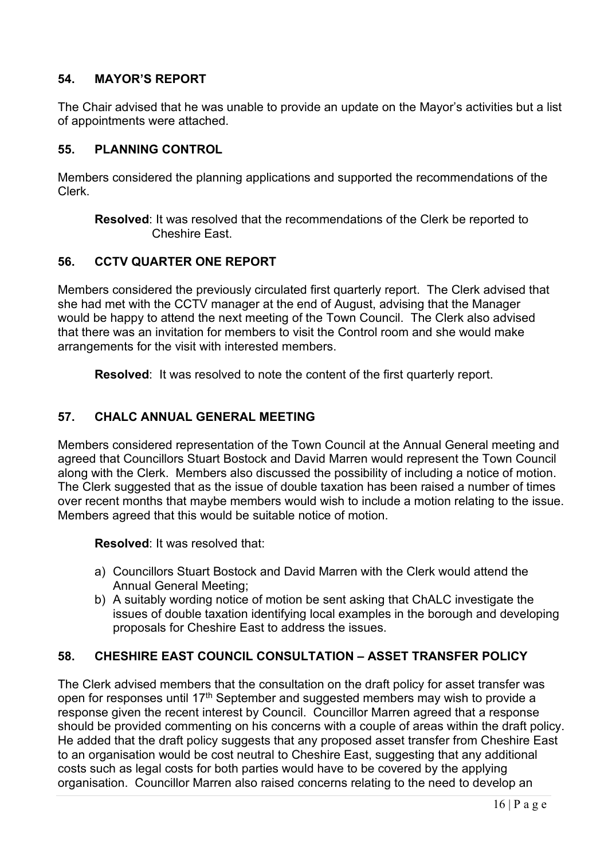# **54. MAYOR'S REPORT**

The Chair advised that he was unable to provide an update on the Mayor's activities but a list of appointments were attached.

## **55. PLANNING CONTROL**

Members considered the planning applications and supported the recommendations of the Clerk.

**Resolved**: It was resolved that the recommendations of the Clerk be reported to Cheshire East.

### **56. CCTV QUARTER ONE REPORT**

Members considered the previously circulated first quarterly report. The Clerk advised that she had met with the CCTV manager at the end of August, advising that the Manager would be happy to attend the next meeting of the Town Council. The Clerk also advised that there was an invitation for members to visit the Control room and she would make arrangements for the visit with interested members.

**Resolved**: It was resolved to note the content of the first quarterly report.

### **57. CHALC ANNUAL GENERAL MEETING**

Members considered representation of the Town Council at the Annual General meeting and agreed that Councillors Stuart Bostock and David Marren would represent the Town Council along with the Clerk. Members also discussed the possibility of including a notice of motion. The Clerk suggested that as the issue of double taxation has been raised a number of times over recent months that maybe members would wish to include a motion relating to the issue. Members agreed that this would be suitable notice of motion.

**Resolved**: It was resolved that:

- a) Councillors Stuart Bostock and David Marren with the Clerk would attend the Annual General Meeting;
- b) A suitably wording notice of motion be sent asking that ChALC investigate the issues of double taxation identifying local examples in the borough and developing proposals for Cheshire East to address the issues.

# **58. CHESHIRE EAST COUNCIL CONSULTATION – ASSET TRANSFER POLICY**

The Clerk advised members that the consultation on the draft policy for asset transfer was open for responses until 17<sup>th</sup> September and suggested members may wish to provide a response given the recent interest by Council. Councillor Marren agreed that a response should be provided commenting on his concerns with a couple of areas within the draft policy. He added that the draft policy suggests that any proposed asset transfer from Cheshire East to an organisation would be cost neutral to Cheshire East, suggesting that any additional costs such as legal costs for both parties would have to be covered by the applying organisation. Councillor Marren also raised concerns relating to the need to develop an